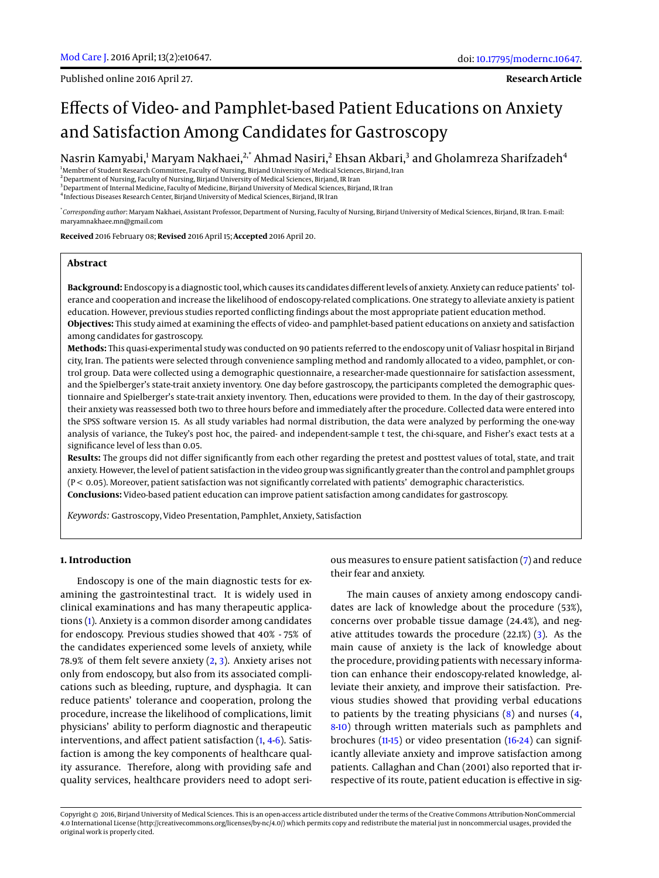Published online 2016 April 27.

**Research Article**

# Effects of Video- and Pamphlet-based Patient Educations on Anxiety and Satisfaction Among Candidates for Gastroscopy

Nasrin Kamyabi,<sup>1</sup> Maryam Nakhaei,<sup>2,\*</sup> Ahmad Nasiri,<sup>2</sup> Ehsan Akbari,<sup>3</sup> and Gholamreza Sharifzadeh<sup>4</sup>

<sup>1</sup>Member of Student Research Committee, Faculty of Nursing, Birjand University of Medical Sciences, Birjand, Iran  $<sup>2</sup>$ Department of Nursing, Faculty of Nursing, Birjand University of Medical Sciences, Birjand, IR Iran</sup> <sup>3</sup>Department of Internal Medicine, Faculty of Medicine, Birjand University of Medical Sciences, Birjand, IR Iran

4 Infectious Diseases Research Center, Birjand University of Medical Sciences, Birjand, IR Iran

\* *Corresponding author*: Maryam Nakhaei, Assistant Professor, Department of Nursing, Faculty of Nursing, Birjand University of Medical Sciences, Birjand, IR Iran. E-mail: maryamnakhaee.mn@gmail.com

**Received** 2016 February 08; **Revised** 2016 April 15; **Accepted** 2016 April 20.

#### **Abstract**

**Background:** Endoscopy is a diagnostic tool, which causes its candidates different levels of anxiety. Anxiety can reduce patients' tolerance and cooperation and increase the likelihood of endoscopy-related complications. One strategy to alleviate anxiety is patient education. However, previous studies reported conflicting findings about the most appropriate patient education method. **Objectives:** This study aimed at examining the effects of video- and pamphlet-based patient educations on anxiety and satisfaction among candidates for gastroscopy.

**Methods:** This quasi-experimental study was conducted on 90 patients referred to the endoscopy unit of Valiasr hospital in Birjand city, Iran. The patients were selected through convenience sampling method and randomly allocated to a video, pamphlet, or control group. Data were collected using a demographic questionnaire, a researcher-made questionnaire for satisfaction assessment, and the Spielberger's state-trait anxiety inventory. One day before gastroscopy, the participants completed the demographic questionnaire and Spielberger's state-trait anxiety inventory. Then, educations were provided to them. In the day of their gastroscopy, their anxiety was reassessed both two to three hours before and immediately after the procedure. Collected data were entered into the SPSS software version 15. As all study variables had normal distribution, the data were analyzed by performing the one-way analysis of variance, the Tukey's post hoc, the paired- and independent-sample t test, the chi-square, and Fisher's exact tests at a significance level of less than 0.05.

**Results:** The groups did not differ significantly from each other regarding the pretest and posttest values of total, state, and trait anxiety. However, the level of patient satisfaction in the video group was significantly greater than the control and pamphlet groups (P < 0.05). Moreover, patient satisfaction was not significantly correlated with patients' demographic characteristics. **Conclusions:** Video-based patient education can improve patient satisfaction among candidates for gastroscopy.

*Keywords:* Gastroscopy, Video Presentation, Pamphlet, Anxiety, Satisfaction

## **1. Introduction**

Endoscopy is one of the main diagnostic tests for examining the gastrointestinal tract. It is widely used in clinical examinations and has many therapeutic applications [\(1\)](#page-3-0). Anxiety is a common disorder among candidates for endoscopy. Previous studies showed that 40% - 75% of the candidates experienced some levels of anxiety, while 78.9% of them felt severe anxiety [\(2,](#page-3-1) [3\)](#page-3-2). Anxiety arises not only from endoscopy, but also from its associated complications such as bleeding, rupture, and dysphagia. It can reduce patients' tolerance and cooperation, prolong the procedure, increase the likelihood of complications, limit physicians' ability to perform diagnostic and therapeutic interventions, and affect patient satisfaction [\(1,](#page-3-0) [4](#page-3-3)[-6\)](#page-4-0). Satisfaction is among the key components of healthcare quality assurance. Therefore, along with providing safe and quality services, healthcare providers need to adopt serious measures to ensure patient satisfaction [\(7\)](#page-4-1) and reduce their fear and anxiety.

The main causes of anxiety among endoscopy candidates are lack of knowledge about the procedure (53%), concerns over probable tissue damage (24.4%), and negative attitudes towards the procedure (22.1%) [\(3\)](#page-3-2). As the main cause of anxiety is the lack of knowledge about the procedure, providing patients with necessary information can enhance their endoscopy-related knowledge, alleviate their anxiety, and improve their satisfaction. Previous studies showed that providing verbal educations to patients by the treating physicians [\(8\)](#page-4-2) and nurses [\(4,](#page-3-3) [8](#page-4-2)[-10\)](#page-4-3) through written materials such as pamphlets and brochures [\(11](#page-4-4)[-15\)](#page-4-5) or video presentation [\(16](#page-4-6)[-24\)](#page-4-7) can significantly alleviate anxiety and improve satisfaction among patients. Callaghan and Chan (2001) also reported that irrespective of its route, patient education is effective in sig-

Copyright © 2016, Birjand University of Medical Sciences. This is an open-access article distributed under the terms of the Creative Commons Attribution-NonCommercial 4.0 International License (http://creativecommons.org/licenses/by-nc/4.0/) which permits copy and redistribute the material just in noncommercial usages, provided the original work is properly cited.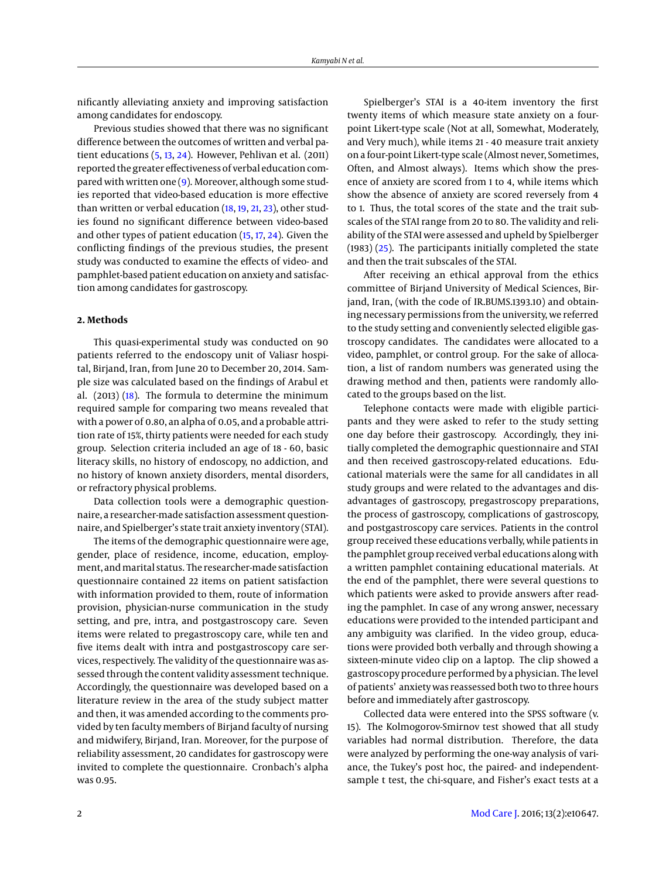nificantly alleviating anxiety and improving satisfaction among candidates for endoscopy.

Previous studies showed that there was no significant difference between the outcomes of written and verbal patient educations [\(5,](#page-4-8) [13,](#page-4-9) [24\)](#page-4-7). However, Pehlivan et al. (2011) reported the greater effectiveness of verbal education compared with written one [\(9\)](#page-4-10). Moreover, although some studies reported that video-based education is more effective than written or verbal education [\(18,](#page-4-11) [19,](#page-4-12) [21,](#page-4-13) [23\)](#page-4-14), other studies found no significant difference between video-based and other types of patient education [\(15,](#page-4-5) [17,](#page-4-15) [24\)](#page-4-7). Given the conflicting findings of the previous studies, the present study was conducted to examine the effects of video- and pamphlet-based patient education on anxiety and satisfaction among candidates for gastroscopy.

## **2. Methods**

This quasi-experimental study was conducted on 90 patients referred to the endoscopy unit of Valiasr hospital, Birjand, Iran, from June 20 to December 20, 2014. Sample size was calculated based on the findings of Arabul et al. (2013) [\(18\)](#page-4-11). The formula to determine the minimum required sample for comparing two means revealed that with a power of 0.80, an alpha of 0.05, and a probable attrition rate of 15%, thirty patients were needed for each study group. Selection criteria included an age of 18 - 60, basic literacy skills, no history of endoscopy, no addiction, and no history of known anxiety disorders, mental disorders, or refractory physical problems.

Data collection tools were a demographic questionnaire, a researcher-made satisfaction assessment questionnaire, and Spielberger's state trait anxiety inventory (STAI).

The items of the demographic questionnaire were age, gender, place of residence, income, education, employment, andmarital status. The researcher-made satisfaction questionnaire contained 22 items on patient satisfaction with information provided to them, route of information provision, physician-nurse communication in the study setting, and pre, intra, and postgastroscopy care. Seven items were related to pregastroscopy care, while ten and five items dealt with intra and postgastroscopy care services, respectively. The validity of the questionnaire was assessed through the content validity assessment technique. Accordingly, the questionnaire was developed based on a literature review in the area of the study subject matter and then, it was amended according to the comments provided by ten faculty members of Birjand faculty of nursing and midwifery, Birjand, Iran. Moreover, for the purpose of reliability assessment, 20 candidates for gastroscopy were invited to complete the questionnaire. Cronbach's alpha was 0.95.

Spielberger's STAI is a 40-item inventory the first twenty items of which measure state anxiety on a fourpoint Likert-type scale (Not at all, Somewhat, Moderately, and Very much), while items 21 - 40 measure trait anxiety on a four-point Likert-type scale (Almost never, Sometimes, Often, and Almost always). Items which show the presence of anxiety are scored from 1 to 4, while items which show the absence of anxiety are scored reversely from 4 to 1. Thus, the total scores of the state and the trait subscales of the STAI range from 20 to 80. The validity and reliability of the STAI were assessed and upheld by Spielberger (1983) [\(25\)](#page-4-16). The participants initially completed the state and then the trait subscales of the STAI.

After receiving an ethical approval from the ethics committee of Birjand University of Medical Sciences, Birjand, Iran, (with the code of IR.BUMS.1393.10) and obtaining necessary permissions from the university, we referred to the study setting and conveniently selected eligible gastroscopy candidates. The candidates were allocated to a video, pamphlet, or control group. For the sake of allocation, a list of random numbers was generated using the drawing method and then, patients were randomly allocated to the groups based on the list.

Telephone contacts were made with eligible participants and they were asked to refer to the study setting one day before their gastroscopy. Accordingly, they initially completed the demographic questionnaire and STAI and then received gastroscopy-related educations. Educational materials were the same for all candidates in all study groups and were related to the advantages and disadvantages of gastroscopy, pregastroscopy preparations, the process of gastroscopy, complications of gastroscopy, and postgastroscopy care services. Patients in the control group received these educations verbally, while patients in the pamphlet group received verbal educations along with a written pamphlet containing educational materials. At the end of the pamphlet, there were several questions to which patients were asked to provide answers after reading the pamphlet. In case of any wrong answer, necessary educations were provided to the intended participant and any ambiguity was clarified. In the video group, educations were provided both verbally and through showing a sixteen-minute video clip on a laptop. The clip showed a gastroscopy procedure performed by a physician. The level of patients' anxiety was reassessed both two to three hours before and immediately after gastroscopy.

Collected data were entered into the SPSS software (v. 15). The Kolmogorov-Smirnov test showed that all study variables had normal distribution. Therefore, the data were analyzed by performing the one-way analysis of variance, the Tukey's post hoc, the paired- and independentsample t test, the chi-square, and Fisher's exact tests at a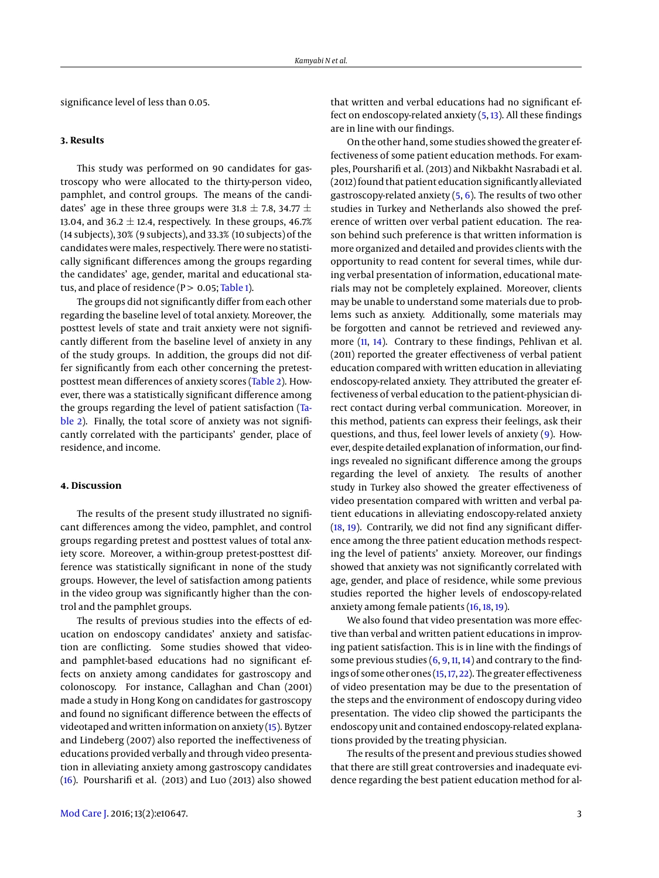significance level of less than 0.05.

#### **3. Results**

This study was performed on 90 candidates for gastroscopy who were allocated to the thirty-person video, pamphlet, and control groups. The means of the candidates' age in these three groups were 31.8  $\pm$  7.8, 34.77  $\pm$ 13.04, and 36.2  $\pm$  12.4, respectively. In these groups, 46.7% (14 subjects), 30% (9 subjects), and 33.3% (10 subjects) of the candidates were males, respectively. There were no statistically significant differences among the groups regarding the candidates' age, gender, marital and educational status, and place of residence ( $P > 0.05$ ; [Table 1\)](#page-3-4).

The groups did not significantly differ from each other regarding the baseline level of total anxiety. Moreover, the posttest levels of state and trait anxiety were not significantly different from the baseline level of anxiety in any of the study groups. In addition, the groups did not differ significantly from each other concerning the pretestposttest mean differences of anxiety scores [\(Table 2\)](#page-3-5). However, there was a statistically significant difference among the groups regarding the level of patient satisfaction [\(Ta](#page-3-5)[ble 2\)](#page-3-5). Finally, the total score of anxiety was not significantly correlated with the participants' gender, place of residence, and income.

### **4. Discussion**

The results of the present study illustrated no significant differences among the video, pamphlet, and control groups regarding pretest and posttest values of total anxiety score. Moreover, a within-group pretest-posttest difference was statistically significant in none of the study groups. However, the level of satisfaction among patients in the video group was significantly higher than the control and the pamphlet groups.

The results of previous studies into the effects of education on endoscopy candidates' anxiety and satisfaction are conflicting. Some studies showed that videoand pamphlet-based educations had no significant effects on anxiety among candidates for gastroscopy and colonoscopy. For instance, Callaghan and Chan (2001) made a study in Hong Kong on candidates for gastroscopy and found no significant difference between the effects of videotaped and written information on anxiety [\(15\)](#page-4-5). Bytzer and Lindeberg (2007) also reported the ineffectiveness of educations provided verbally and through video presentation in alleviating anxiety among gastroscopy candidates [\(16\)](#page-4-6). Poursharifi et al. (2013) and Luo (2013) also showed

that written and verbal educations had no significant effect on endoscopy-related anxiety [\(5,](#page-4-8) [13\)](#page-4-9). All these findings are in line with our findings.

On the other hand, some studies showed the greater effectiveness of some patient education methods. For examples, Poursharifi et al. (2013) and Nikbakht Nasrabadi et al. (2012) found that patient education significantly alleviated gastroscopy-related anxiety  $(5, 6)$  $(5, 6)$  $(5, 6)$ . The results of two other studies in Turkey and Netherlands also showed the preference of written over verbal patient education. The reason behind such preference is that written information is more organized and detailed and provides clients with the opportunity to read content for several times, while during verbal presentation of information, educational materials may not be completely explained. Moreover, clients may be unable to understand some materials due to problems such as anxiety. Additionally, some materials may be forgotten and cannot be retrieved and reviewed anymore [\(11,](#page-4-4) [14\)](#page-4-17). Contrary to these findings, Pehlivan et al. (2011) reported the greater effectiveness of verbal patient education compared with written education in alleviating endoscopy-related anxiety. They attributed the greater effectiveness of verbal education to the patient-physician direct contact during verbal communication. Moreover, in this method, patients can express their feelings, ask their questions, and thus, feel lower levels of anxiety [\(9\)](#page-4-10). However, despite detailed explanation of information, our findings revealed no significant difference among the groups regarding the level of anxiety. The results of another study in Turkey also showed the greater effectiveness of video presentation compared with written and verbal patient educations in alleviating endoscopy-related anxiety [\(18,](#page-4-11) [19\)](#page-4-12). Contrarily, we did not find any significant difference among the three patient education methods respecting the level of patients' anxiety. Moreover, our findings showed that anxiety was not significantly correlated with age, gender, and place of residence, while some previous studies reported the higher levels of endoscopy-related anxiety among female patients [\(16,](#page-4-6) [18,](#page-4-11) [19\)](#page-4-12).

We also found that video presentation was more effective than verbal and written patient educations in improving patient satisfaction. This is in line with the findings of some previous studies  $(6, 9, 11, 14)$  $(6, 9, 11, 14)$  $(6, 9, 11, 14)$  $(6, 9, 11, 14)$  $(6, 9, 11, 14)$  $(6, 9, 11, 14)$  $(6, 9, 11, 14)$  and contrary to the findings of some other ones [\(15,](#page-4-5)[17,](#page-4-15) [22\)](#page-4-18). The greater effectiveness of video presentation may be due to the presentation of the steps and the environment of endoscopy during video presentation. The video clip showed the participants the endoscopy unit and contained endoscopy-related explanations provided by the treating physician.

The results of the present and previous studies showed that there are still great controversies and inadequate evidence regarding the best patient education method for al-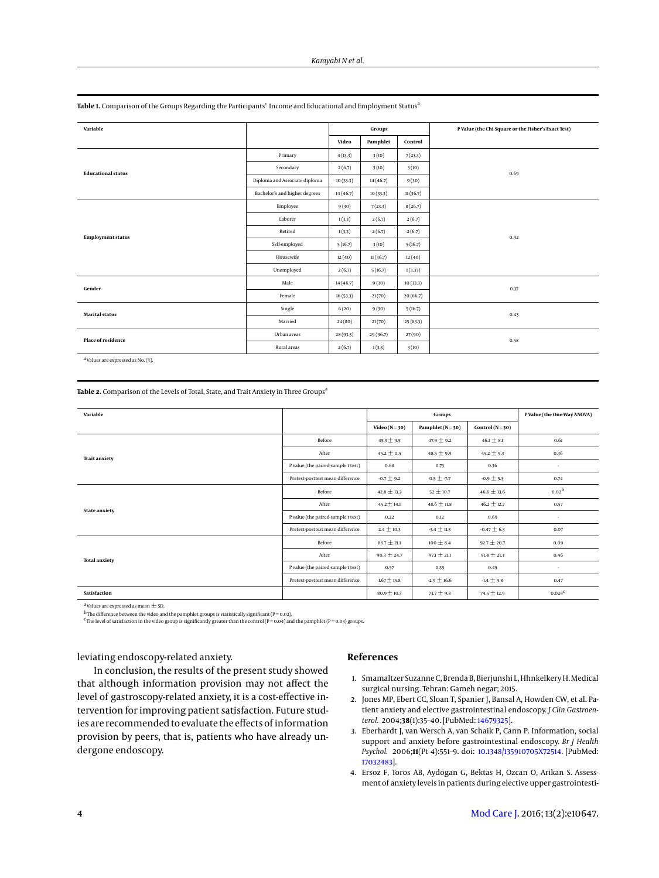| Variable                  |                               |                   | Groups    |          | P Value (the Chi-Square or the Fisher's Exact Test) |  |
|---------------------------|-------------------------------|-------------------|-----------|----------|-----------------------------------------------------|--|
|                           |                               | Pamphlet<br>Video |           | Control  |                                                     |  |
|                           |                               |                   |           |          |                                                     |  |
| <b>Educational status</b> | Primary                       | 4(13.3)           | 3(10)     | 7(23.3)  |                                                     |  |
|                           | Secondary                     | 2(6.7)            | 3(10)     | 3(10)    | 0.69                                                |  |
|                           | Diploma and Associate diploma | 10(33.3)          | 14(46.7)  | 9(30)    |                                                     |  |
|                           | Bachelor's and higher degrees | 14(46.7)          | 10(33.3)  | 11(36.7) |                                                     |  |
| <b>Employment status</b>  | Employee                      | 9(30)             | 7(23.3)   | 8(26.7)  |                                                     |  |
|                           | Laborer                       | 1(3.3)            | 2(6.7)    | 2(6.7)   |                                                     |  |
|                           | Retired                       | 1(3.3)            | 2(6.7)    | 2(6.7)   | 0.92                                                |  |
|                           | Self-employed                 | 5(16.7)           | 3(10)     | 5(16.7)  |                                                     |  |
|                           | Housewife                     | 12(40)            | 11(36.7)  | 12(40)   |                                                     |  |
|                           | Unemployed                    | 2(6.7)            | 5(16.7)   | 1(3.33)  |                                                     |  |
| Gender                    | Male                          | 14(46.7)          | 9(30)     | 10(33.3) | 0.37                                                |  |
|                           | Female                        | 16(53.3)          | 21(70)    | 20(66.7) |                                                     |  |
| <b>Marital status</b>     | Single                        | 6(20)             | 9(30)     | 5(16.7)  | 0.43                                                |  |
|                           | Married                       | 24(80)            | 21(70)    | 25(83.3) |                                                     |  |
| <b>Place of residence</b> | Urban areas                   | 28(93.3)          | 29 (96.7) | 27(90)   | 0.58                                                |  |
|                           | Rural areas                   | 2(6.7)            | 1(3.3)    | 3(10)    |                                                     |  |

<span id="page-3-4"></span>Table 1. Comparison of the Groups Regarding the Participants' Income and Educational and Employment Status<sup>a</sup>

a Values are expressed as No. (%).

<span id="page-3-5"></span>Table 2. Comparison of the Levels of Total, State, and Trait Anxiety in Three Groups<sup>a</sup>

| Variable             |                                    | Groups             |                   |                      | P Value (the One-Way ANOVA) |
|----------------------|------------------------------------|--------------------|-------------------|----------------------|-----------------------------|
|                      |                                    | Video ( $N = 30$ ) | Pamphlet $(N=30)$ | Control ( $N = 30$ ) |                             |
| <b>Trait anxiety</b> | Before                             | $45.9 \pm 9.5$     | 47.9 $\pm$ 9.2    | $46.1 \pm 8.1$       | 0.61                        |
|                      | After                              | $45.2 \pm 11.5$    | $48.5 \pm 9.9$    | $45.2 \pm 9.3$       | 0.36                        |
|                      | P value (the paired-sample t test) | 0.68               | 0.73              | 0.36                 | ٠                           |
|                      | Pretest-posttest mean difference   | $-0.7 \pm 9.2$     | $0.5 \pm .7.7$    | $-0.9 \pm 5.3$       | 0.74                        |
|                      | Before                             | $42.8 \pm 13.2$    | $52 \pm 10.7$     | $46.6 \pm 13.6$      | 0.02 <sup>b</sup>           |
|                      | After                              | $45.2 \pm 14.1$    | $48.6 \pm 11.8$   | $46.2 \pm 12.7$      | 0.57                        |
| <b>State anxiety</b> | P value (the paired-sample t test) | 0.22               | 0.12              | 0.69                 | ٠                           |
|                      | Pretest-posttest mean difference   | $2.4 \pm 10.3$     | $-3.4 \pm 11.3$   | $-0.47 \pm 6.3$      | 0.07                        |
|                      | Before                             | $88.7 \pm 21.1$    | $100 \pm 8.4$     | $92.7 \pm 20.7$      | 0.09                        |
| <b>Total anxiety</b> | After                              | $90.3 \pm 24.7$    | $97.1 \pm 21.1$   | $91.4 \pm 21.3$      | 0.46                        |
|                      | P value (the paired-sample t test) | 0.57               | 0.35              | 0.45                 | ٠                           |
|                      | Pretest-posttest mean difference   | $1.67 \pm 15.8$    | $-2.9 \pm 16.6$   | $-1.4 \pm 9.8$       | 0.47                        |
| Satisfaction         |                                    | $80.9 \pm 10.3$    | $73.7 \pm 9.8$    | 74.5 $\pm$ 12.9      | $0.024^C$                   |

<sup>a</sup> Values are expressed as mean  $\pm$  SD.

 $^{\rm b}$ The difference between the video and the pamphlet groups is statistically significant (P = 0.02).<br><sup>C</sup>The level of satisfaction in the video group is significantly greater than the control (P = 0.04) and the pamphle

leviating endoscopy-related anxiety.

In conclusion, the results of the present study showed that although information provision may not affect the level of gastroscopy-related anxiety, it is a cost-effective intervention for improving patient satisfaction. Future studies are recommended to evaluate the effects of information provision by peers, that is, patients who have already undergone endoscopy.

## **References**

- <span id="page-3-0"></span>1. Smamaltzer Suzanne C, Brenda B, Bierjunshi L, Hhnkelkery H.Medical surgical nursing. Tehran: Gameh negar; 2015.
- <span id="page-3-1"></span>2. Jones MP, Ebert CC, Sloan T, Spanier J, Bansal A, Howden CW, et al. Patient anxiety and elective gastrointestinal endoscopy. *J Clin Gastroenterol.* 2004;**38**(1):35–40. [PubMed: [14679325\]](http://www.ncbi.nlm.nih.gov/pubmed/14679325).
- <span id="page-3-2"></span>3. Eberhardt J, van Wersch A, van Schaik P, Cann P. Information, social support and anxiety before gastrointestinal endoscopy. *Br J Health Psychol.* 2006;**11**(Pt 4):551–9. doi: [10.1348/135910705X72514.](http://dx.doi.org/10.1348/135910705X72514) [PubMed: [17032483\]](http://www.ncbi.nlm.nih.gov/pubmed/17032483).
- <span id="page-3-3"></span>4. Ersoz F, Toros AB, Aydogan G, Bektas H, Ozcan O, Arikan S. Assessment of anxiety levels in patients during elective upper gastrointesti-